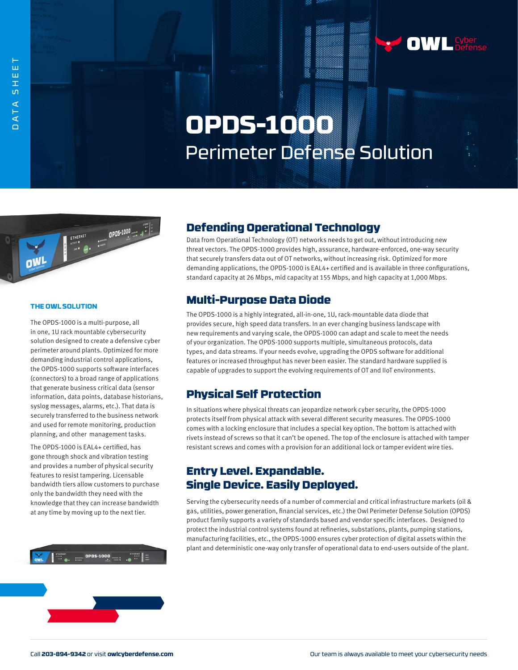

# **OPDS-1000** Perimeter Defense Solution



#### **THE OWL SOLUTION**

The OPDS-1000 is a multi-purpose, all in one, 1U rack mountable cybersecurity solution designed to create a defensive cyber perimeter around plants. Optimized for more demanding industrial control applications, the OPDS-1000 supports software interfaces (connectors) to a broad range of applications that generate business critical data (sensor information, data points, database historians, syslog messages, alarms, etc.). That data is securely transferred to the business network and used for remote monitoring, production planning, and other management tasks.

The OPDS-1000 is EAL4+ certified, has gone through shock and vibration testing and provides a number of physical security features to resist tampering. Licensable bandwidth tiers allow customers to purchase only the bandwidth they need with the knowledge that they can increase bandwidth at any time by moving up to the next tier.



## Defending Operational Technology

Data from Operational Technology (OT) networks needs to get out, without introducing new threat vectors. The OPDS-1000 provides high, assurance, hardware-enforced, one-way security that securely transfers data out of OT networks, without increasing risk. Optimized for more demanding applications, the OPDS-1000 is EAL4+ certified and is available in three configurations, standard capacity at 26 Mbps, mid capacity at 155 Mbps, and high capacity at 1,000 Mbps.

## Multi-Purpose Data Diode

The OPDS-1000 is a highly integrated, all-in-one, 1U, rack-mountable data diode that provides secure, high speed data transfers. In an ever changing business landscape with new requirements and varying scale, the OPDS-1000 can adapt and scale to meet the needs of your organization. The OPDS-1000 supports multiple, simultaneous protocols, data types, and data streams. If your needs evolve, upgrading the OPDS software for additional features or increased throughput has never been easier. The standard hardware supplied is capable of upgrades to support the evolving requirements of OT and IIoT environments.

## Physical Self Protection

In situations where physical threats can jeopardize network cyber security, the OPDS-1000 protects itself from physical attack with several different security measures. The OPDS-1000 comes with a locking enclosure that includes a special key option. The bottom is attached with rivets instead of screws so that it can't be opened. The top of the enclosure is attached with tamper resistant screws and comes with a provision for an additional lock or tamper evident wire ties.

## Entry Level. Expandable. Single Device. Easily Deployed.

Serving the cybersecurity needs of a number of commercial and critical infrastructure markets (oil & gas, utilities, power generation, financial services, etc.) the Owl Perimeter Defense Solution (OPDS) product family supports a variety of standards based and vendor specific interfaces. Designed to protect the industrial control systems found at refineries, substations, plants, pumping stations, manufacturing facilities, etc., the OPDS-1000 ensures cyber protection of digital assets within the plant and deterministic one-way only transfer of operational data to end-users outside of the plant.